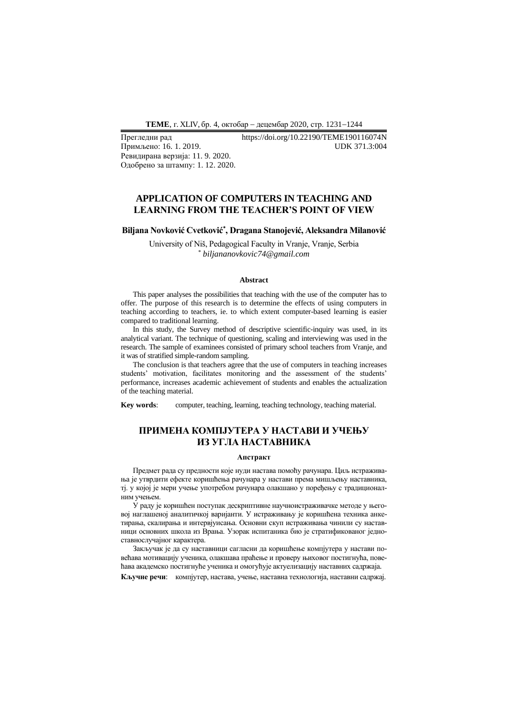**ТEME**, г. XLIV, бр. 4, октобар − децембар 2020, стр. 1231−1244

Примљено: 16.1.2019. Ревидирана верзија: 11. 9. 2020. Одобрено за штампу: 1. 12. 2020.

# Прегледни рад https://doi.org/10.22190/TEME190116074N

# **APPLICATION OF COMPUTERS IN TEACHING AND LEARNING FROM THE TEACHER'S POINT OF VIEW**

## **Biljana Novković Cvetković\* , Dragana Stanojević, Aleksandra Milanović**

University of Niš, Pedagogical Faculty in Vranje, Vranje, Serbia *\* biljananovkovic74@gmail.com*

#### **Abstract**

This paper analyses the possibilities that teaching with the use of the computer has to offer. The purpose of this research is to determine the effects of using computers in teaching according to teachers, ie. to which extent computer-based learning is easier compared to traditional learning.

In this study, the Survey method of descriptive scientific-inquiry was used, in its analytical variant. The technique of questioning, scaling and interviewing was used in the research. The sample of examinees consisted of primary school teachers from Vranje, and it was of stratified simple-random sampling.

The conclusion is that teachers agree that the use of computers in teaching increases students' motivation, facilitates monitoring and the assessment of the students' performance, increases academic achievement of students and enables the actualization of the teaching material.

**Key words**: computer, teaching, learning, teaching technology, teaching material.

# **ПРИМЕНА КОМПЈУТЕРА У НАСТАВИ И УЧЕЊУ ИЗ УГЛА НАСТАВНИКА**

#### **Апстракт**

Предмет рада су предности које нуди настава помоћу рачунара. Циљ истраживања је утврдити ефекте коришћења рачунара у настави према мишљењу наставника, тј. у којој је мери учење употребом рачунара олакшано у поређењу с традиционалним учењем.

У раду је коришћен поступак дескриптивне научноистраживачке методе у његовој наглашеној аналитичкој варијанти. У истраживању је коришћена техника анкетирања, скалирања и интервјуисања. Основни скуп истраживања чинили су наставници основних школа из Врања. Узорак испитаника био је стратификованог једноставнослучајног карактера.

Закључак је да су наставници сагласни да коришћење компјутера у настави повећава мотивацију ученика, олакшава праћење и проверу њиховог постигнућа, повећава академско постигнуће ученика и омогућује актуелизацију наставних садржаја.

**Кључне речи**: компјутер, настава, учење, наставна технологија, наставни садржај.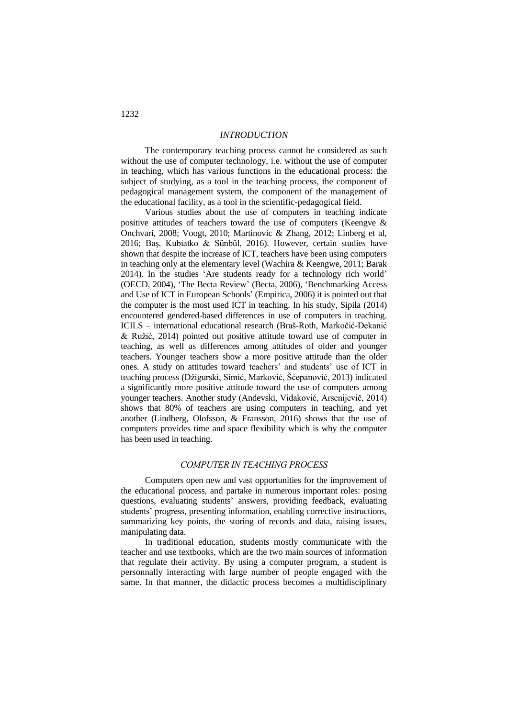## *INTRODUCTION*

The contemporary teaching process cannot be considered as such without the use of computer technology, i.e. without the use of computer in teaching, which has various functions in the educational process: the subject of studying, as a tool in the teaching process, the component of pedagogical management system, the component of the management of the educational facility, as a tool in the scientific-pedagogical field.

Various studies about the use of computers in teaching indicate positive attitudes of teachers toward the use of computers (Keengve & Onchvari, 2008; Voogt, 2010; Martinovic & Zhang, 2012; Linberg et al, 2016; Baş, Kubiatko & Sünbül, 2016). However, certain studies have shown that despite the increase of ICT, teachers have been using computers in teaching only at the elementary level (Wachira & Keengwe, 2011; Barak 2014). In the studies 'Are students ready for a technology rich world' (OECD, 2004), 'The Becta Review' (Becta, 2006), 'Benchmarking Access and Use of ICT in European Schools' (Empirica, 2006) it is pointed out that the computer is the most used ICT in teaching. In his study, Sipila (2014) encountered gendered-based differences in use of computers in teaching. ICILS – international educational research (Braš-Roth, Markočić-Dekanić & Ružić, 2014) pointed out positive attitude toward use of computer in teaching, as well as differences among attitudes of older and younger teachers. Younger teachers show a more positive attitude than the older ones. A study on attitudes toward teachers' and students' use of ICT in teaching process (Džigurski, Simić, Marković, Šćepanović, 2013) indicated a significantly more positive attitude toward the use of computers among younger teachers. Another study (Andevski, Vidaković, Arsenijevič, 2014) shows that 80% of teachers are using computers in teaching, and yet another (Lindberg, Olofsson, & Fransson, 2016) shows that the use of computers provides time and space flexibility which is why the computer has been used in teaching.

# *COMPUTER IN TEACHING PROCESS*

Computers open new and vast opportunities for the improvement of the educational process, and partake in numerous important roles: posing questions, evaluating students' answers, providing feedback, evaluating students' progress, presenting information, enabling corrective instructions, summarizing key points, the storing of records and data, raising issues, manipulating data.

In traditional education, students mostly communicate with the teacher and use textbooks, which are the two main sources of information that regulate their activity. By using a computer program, a student is personnally interacting with large number of people engaged with the same. In that manner, the didactic process becomes a multidisciplinary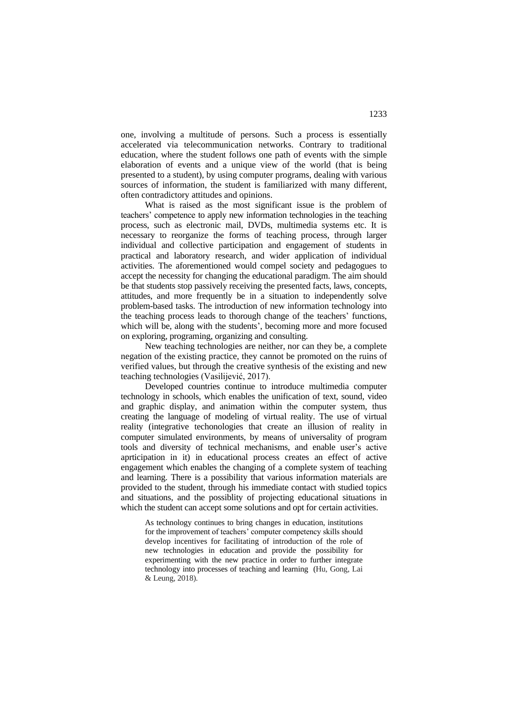one, involving a multitude of persons. Such a process is essentially accelerated via telecommunication networks. Contrary to traditional education, where the student follows one path of events with the simple elaboration of events and a unique view of the world (that is being presented to a student), by using computer programs, dealing with various sources of information, the student is familiarized with many different, often contradictory attitudes and opinions.

What is raised as the most significant issue is the problem of teachers' competence to apply new information technologies in the teaching process, such as electronic mail, DVDs, multimedia systems etc. It is necessary to reorganize the forms of teaching process, through larger individual and collective participation and engagement of students in practical and laboratory research, and wider application of individual activities. The aforementioned would compel society and pedagogues to accept the necessity for changing the educational paradigm. The aim should be that students stop passively receiving the presented facts, laws, concepts, attitudes, and more frequently be in a situation to independently solve problem-based tasks. The introduction of new information technology into the teaching process leads to thorough change of the teachers' functions, which will be, along with the students', becoming more and more focused on exploring, programing, organizing and consulting.

New teaching technologies are neither, nor can they be, a complete negation of the existing practice, they cannot be promoted on the ruins of verified values, but through the creative synthesis of the existing and new teaching technologies (Vasilijević, 2017).

Developed countries continue to introduce multimedia computer technology in schools, which enables the unification of text, sound, video and graphic display, and animation within the computer system, thus creating the language of modeling of virtual reality. The use of virtual reality (integrative techonologies that create an illusion of reality in computer simulated environments, by means of universality of program tools and diversity of technical mechanisms, and enable user's active aprticipation in it) in educational process creates an effect of active engagement which enables the changing of a complete system of teaching and learning. There is a possibility that various information materials are provided to the student, through his immediate contact with studied topics and situations, and the possiblity of projecting educational situations in which the student can accept some solutions and opt for certain activities.

As technology continues to bring changes in education, institutions for the improvement of teachers' computer competency skills should develop incentives for facilitating of introduction of the role of new technologies in education and provide the possibility for experimenting with the new practice in order to further integrate technology into processes of teaching and learning (Hu, Gong, Lai & Leung, 2018).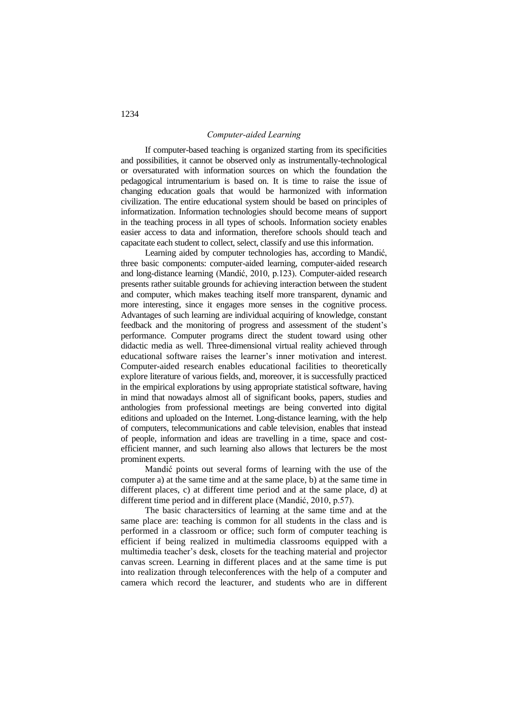## *Computer-aided Learning*

If computer-based teaching is organized starting from its specificities and possibilities, it cannot be observed only as instrumentally-technological or oversaturated with information sources on which the foundation the pedagogical intrumentarium is based on. It is time to raise the issue of changing education goals that would be harmonized with information civilization. The entire educational system should be based on principles of informatization. Information technologies should become means of support in the teaching process in all types of schools. Information society enables easier access to data and information, therefore schools should teach and capacitate each student to collect, select, classify and use this information.

Learning aided by computer technologies has, according to Mandić, three basic components: computer-aided learning, computer-aided research and long-distance learning (Mandić, 2010, p.123). Computer-aided research presents rather suitable grounds for achieving interaction between the student and computer, which makes teaching itself more transparent, dynamic and more interesting, since it engages more senses in the cognitive process. Advantages of such learning are individual acquiring of knowledge, constant feedback and the monitoring of progress and assessment of the student's performance. Computer programs direct the student toward using other didactic media as well. Three-dimensional virtual reality achieved through educational software raises the learner's inner motivation and interest. Computer-aided research enables educational facilities to theoretically explore literature of various fields, and, moreover, it is successfully practiced in the empirical explorations by using appropriate statistical software, having in mind that nowadays almost all of significant books, papers, studies and anthologies from professional meetings are being converted into digital editions and uploaded on the Internet. Long-distance learning, with the help of computers, telecommunications and cable television, enables that instead of people, information and ideas are travelling in a time, space and costefficient manner, and such learning also allows that lecturers be the most prominent experts.

Mandić points out several forms of learning with the use of the computer a) at the same time and at the same place, b) at the same time in different places, c) at different time period and at the same place, d) at different time period and in different place (Mandić, 2010, p.57).

The basic charactersitics of learning at the same time and at the same place are: teaching is common for all students in the class and is performed in a classroom or office; such form of computer teaching is efficient if being realized in multimedia classrooms equipped with a multimedia teacher's desk, closets for the teaching material and projector canvas screen. Learning in different places and at the same time is put into realization through teleconferences with the help of a computer and camera which record the leacturer, and students who are in different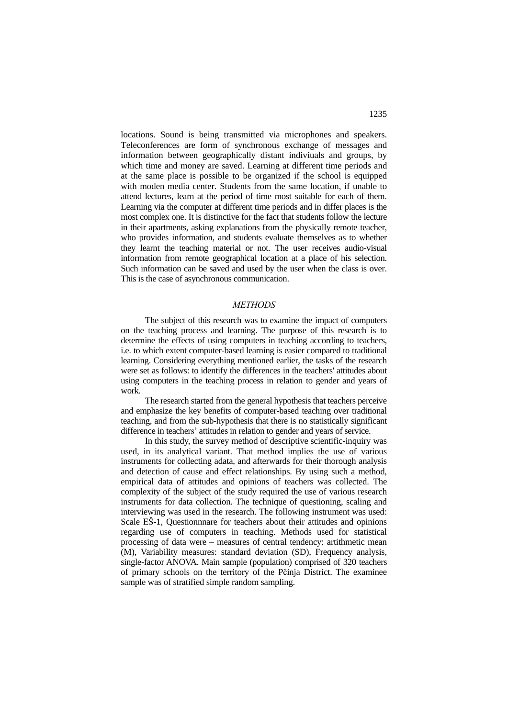locations. Sound is being transmitted via microphones and speakers. Teleconferences are form of synchronous exchange of messages and information between geographically distant indiviuals and groups, by which time and money are saved. Learning at different time periods and at the same place is possible to be organized if the school is equipped with moden media center. Students from the same location, if unable to attend lectures, learn at the period of time most suitable for each of them. Learning via the computer at different time periods and in differ places is the most complex one. It is distinctive for the fact that students follow the lecture in their apartments, asking explanations from the physically remote teacher, who provides information, and students evaluate themselves as to whether they learnt the teaching material or not. The user receives audio-visual information from remote geographical location at a place of his selection. Such information can be saved and used by the user when the class is over. This is the case of asynchronous communication.

#### *METHODS*

The subject of this research was to examine the impact of computers on the teaching process and learning. The purpose of this research is to determine the effects of using computers in teaching according to teachers, i.e. to which extent computer-based learning is easier compared to traditional learning. Considering everything mentioned earlier, the tasks of the research were set as follows: to identify the differences in the teachers' attitudes about using computers in the teaching process in relation to gender and years of work.

The research started from the general hypothesis that teachers perceive and emphasize the key benefits of computer-based teaching over traditional teaching, and from the sub-hypothesis that there is no statistically significant difference in teachers' attitudes in relation to gender and years of service.

In this study, the survey method of descriptive scientific-inquiry was used, in its analytical variant. That method implies the use of various instruments for collecting adata, and afterwards for their thorough analysis and detection of cause and effect relationships. By using such a method, empirical data of attitudes and opinions of teachers was collected. The complexity of the subject of the study required the use of various research instruments for data collection. The technique of questioning, scaling and interviewing was used in the research. The following instrument was used: Scale EŠ-1, Questionnnare for teachers about their attitudes and opinions regarding use of computers in teaching. Methods used for statistical processing of data were – measures of central tendency: artithmetic mean (M), Variability measures: standard deviation (SD), Frequency analysis, single-factor ANOVA. Main sample (population) comprised of 320 teachers of primary schools on the territory of the Pčinja District. The examinee sample was of stratified simple random sampling.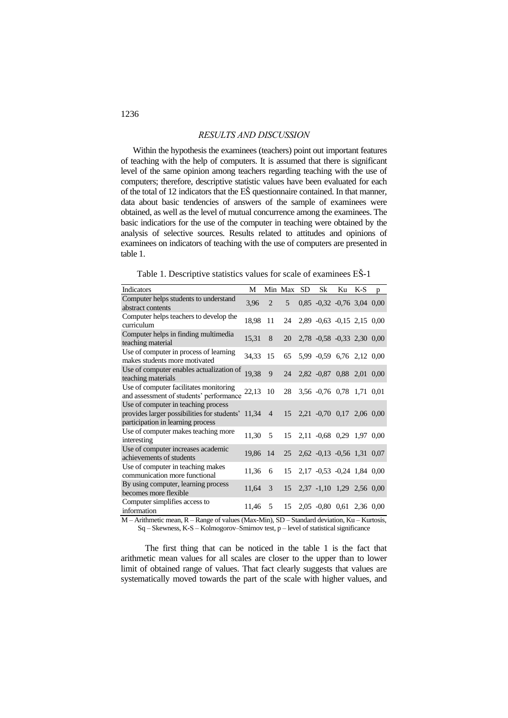## *RESULTS AND DISCUSSION*

Within the hypothesis the examinees (teachers) point out important features of teaching with the help of computers. It is assumed that there is significant level of the same opinion among teachers regarding teaching with the use of computers; therefore, descriptive statistic values have been evaluated for each of the total of 12 indicators that the EŠ questionnaire contained. In that manner, data about basic tendencies of answers of the sample of examinees were obtained, as well as the level of mutual concurrence among the examinees. The basic indicatiors for the use of the computer in teaching were obtained by the analysis of selective sources. Results related to attitudes and opinions of examinees on indicators of teaching with the use of computers are presented in table 1.

Table 1. Descriptive statistics values for scale of examinees EŠ-1

| Indicators                                                                                                                      | М     |                | Min Max SD | Sk                            | Ku | $K-S$ | p |
|---------------------------------------------------------------------------------------------------------------------------------|-------|----------------|------------|-------------------------------|----|-------|---|
| Computer helps students to understand<br>abstract contents                                                                      | 3,96  | $\overline{2}$ | 5          | $0,85$ -0,32 -0,76 3,04 0,00  |    |       |   |
| Computer helps teachers to develop the<br>curriculum                                                                            | 18,98 | 11             | 24         | 2,89 -0,63 -0,15 2,15 0,00    |    |       |   |
| Computer helps in finding multimedia<br>teaching material                                                                       | 15,31 | 8              | 20         | 2,78 -0,58 -0,33 2,30 0,00    |    |       |   |
| Use of computer in process of learning<br>makes students more motivated                                                         | 34,33 | 15             | 65         | 5,99 -0,59 6,76 2,12 0,00     |    |       |   |
| Use of computer enables actualization of<br>teaching materials                                                                  | 19,38 | 9              | 24         | 2,82 -0,87 0,88 2,01 0,00     |    |       |   |
| Use of computer facilitates monitoring<br>and assessment of students' performance                                               | 22,13 | 10             | 28         | 3,56 -0,76 0,78 1,71 0,01     |    |       |   |
| Use of computer in teaching process<br>provides larger possibilities for students' 11,34 4<br>participation in learning process |       |                |            | 15 2,21 -0,70 0,17 2,06 0,00  |    |       |   |
| Use of computer makes teaching more<br>interesting                                                                              | 11,30 | 5              | 15         | 2,11 -0,68 0,29 1,97 0,00     |    |       |   |
| Use of computer increases academic<br>achievements of students                                                                  | 19,86 | 14             |            | 25 2,62 -0,13 -0,56 1,31 0,07 |    |       |   |
| Use of computer in teaching makes<br>communication more functional                                                              | 11,36 | 6              | 15         | 2,17 -0,53 -0,24 1,84 0,00    |    |       |   |
| By using computer, learning process<br>becomes more flexible                                                                    | 11,64 | 3              | 15         | 2,37 -1,10 1,29 2,56 0,00     |    |       |   |
| Computer simplifies access to<br>information                                                                                    | 11,46 | 5              | 15         | 2,05 -0,80 0,61 2,36 0,00     |    |       |   |

M – Arithmetic mean, R – Range of values (Max-Min), SD – Standard deviation, Ku – Kurtosis, Sq – Skewness, K-S – Kolmogorov–Smirnov test, p – level of statistical significance

The first thing that can be noticed in the table 1 is the fact that arithmetic mean values for all scales are closer to the upper than to lower limit of obtained range of values. That fact clearly suggests that values are systematically moved towards the part of the scale with higher values, and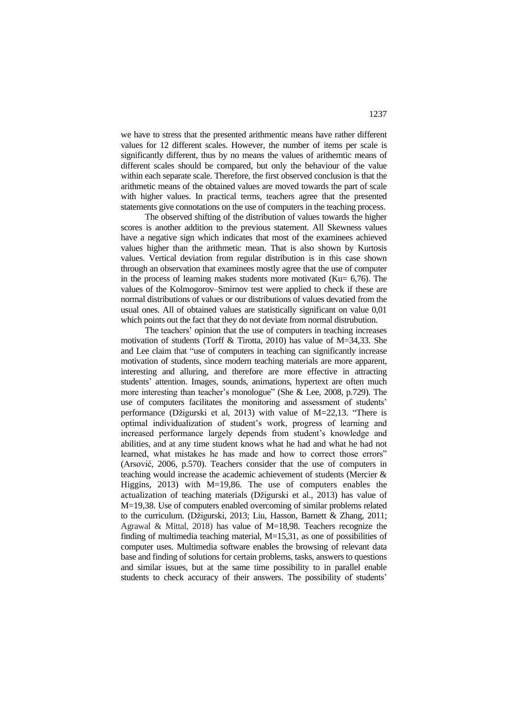we have to stress that the presented arithmentic means have rather different values for 12 different scales. However, the number of items per scale is significantly different, thus by no means the values of arithemtic means of different scales should be compared, but only the behaviour of the value within each separate scale. Therefore, the first observed conclusion is that the arithmetic means of the obtained values are moved towards the part of scale with higher values. In practical terms, teachers agree that the presented statements give connotations on the use of computers in the teaching process.

The observed shifting of the distribution of values towards the higher scores is another addition to the previous statement. All Skewness values have a negative sign which indicates that most of the examinees achieved values higher than the arithmetic mean. That is also shown by Kurtosis values. Vertical deviation from regular distribution is in this case shown through an observation that examinees mostly agree that the use of computer in the process of learning makes students more motivated (Ku $= 6,76$ ). The values of the Kolmogorov–Smirnov test were applied to check if these are normal distributions of values or our distributions of values devatied from the usual ones. All of obtained values are statistically significant on value 0,01 which points out the fact that they do not deviate from normal distrubution.

The teachers' opinion that the use of computers in teaching increases motivation of students (Torff & Tirotta, 2010) has value of M=34,33. She and Lee claim that "use of computers in teaching can significantly increase motivation of students, since modern teaching materials are more apparent, interesting and alluring, and therefore are more effective in attracting students' attention. Images, sounds, animations, hypertext are often much more interesting than teacher's monologue" (She & Lee, 2008, p.729). The use of computers facilitates the monitoring and assessment of students' performance (Džigurski et al, 2013) with value of M=22,13. "There is optimal individualization of student's work, progress of learning and increased performance largely depends from student's knowledge and abilities, and at any time student knows what he had and what he had not learned, what mistakes he has made and how to correct those errors" (Arsović, 2006, p.570). Teachers consider that the use of computers in teaching would increase the academic achievement of students (Mercier & Higgins, 2013) with M=19,86. The use of computers enables the actualization of teaching materials (Džigurski et al., 2013) has value of M=19,38. Use of computers enabled overcoming of similar problems related to the curriculum. (Džigurski, 2013; Liu, Hasson, Barnett & Zhang, 2011; Agrawal & Mittal, 2018) has value of M=18,98. Teachers recognize the finding of multimedia teaching material, M=15,31, as one of possibilities of computer uses. Multimedia software enables the browsing of relevant data base and finding of solutions for certain problems, tasks, answers to questions and similar issues, but at the same time possibility to in parallel enable students to check accuracy of their answers. The possibility of students'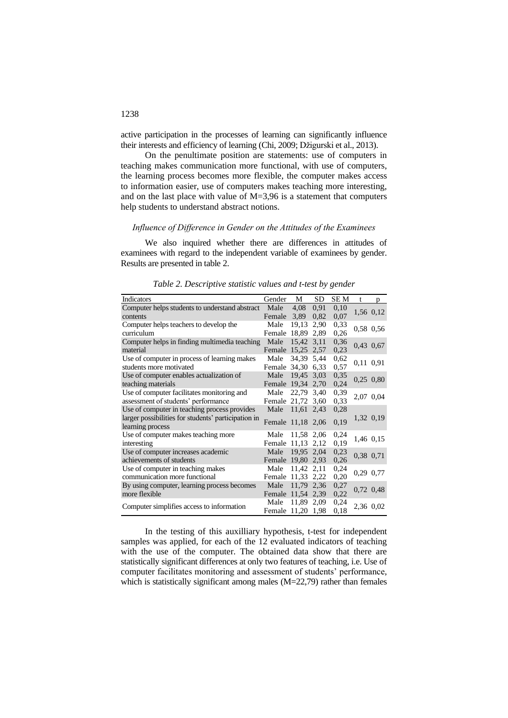active participation in the processes of learning can significantly influence their interests and efficiency of learning (Chi, 2009; Džigurski et al., 2013).

On the penultimate position are statements: use of computers in teaching makes communication more functional, with use of computers, the learning process becomes more flexible, the computer makes access to information easier, use of computers makes teaching more interesting, and on the last place with value of M=3,96 is a statement that computers help students to understand abstract notions.

#### *Influence of Difference in Gender on the Attitudes of the Examinees*

We also inquired whether there are differences in attitudes of examinees with regard to the independent variable of examinees by gender. Results are presented in table 2.

| Indicators                                          | Gender            | M     | SD   | SE M | t         | p         |
|-----------------------------------------------------|-------------------|-------|------|------|-----------|-----------|
| Computer helps students to understand abstract      | Male              | 4,08  | 0.91 | 0,10 |           | 1,56 0,12 |
| contents                                            | Female            | 3.89  | 0,82 | 0,07 |           |           |
| Computer helps teachers to develop the              | Male              | 19,13 | 2,90 | 0.33 |           | 0,58 0,56 |
| curriculum                                          | Female            | 18,89 | 2,89 | 0,26 |           |           |
| Computer helps in finding multimedia teaching       | Male              | 15.42 | 3,11 | 0,36 |           | 0,43 0,67 |
| material                                            | Female 15,25      |       | 2,57 | 0,23 |           |           |
| Use of computer in process of learning makes        | Male              | 34,39 | 5,44 | 0,62 |           | 0,11 0,91 |
| students more motivated                             | Female 34,30      |       | 6.33 | 0.57 |           |           |
| Use of computer enables actualization of            | Male              | 19,45 | 3,03 | 0.35 |           | 0,25 0,80 |
| teaching materials                                  | Female 19,34      |       | 2,70 | 0,24 |           |           |
| Use of computer facilitates monitoring and          | Male              | 22,79 | 3,40 | 0.39 |           |           |
| assessment of students' performance                 | Female 21,72      |       | 3,60 | 0.33 | 2,07 0,04 |           |
| Use of computer in teaching process provides        | Male              | 11,61 | 2,43 | 0,28 |           |           |
| larger possibilities for students' participation in | Female 11,18 2,06 |       |      | 0,19 |           | 1,32 0,19 |
| learning process                                    |                   |       |      |      |           |           |
| Use of computer makes teaching more                 | Male              | 11,58 | 2,06 | 0,24 |           | 1,46 0,15 |
| interesting                                         | Female 11,13      |       | 2,12 | 0,19 |           |           |
| Use of computer increases academic                  | Male              | 19,95 | 2,04 | 0.23 | 0,38 0,71 |           |
| achievements of students                            | Female 19,80      |       | 2,93 | 0,26 |           |           |
| Use of computer in teaching makes                   | Male              | 11,42 | 2,11 | 0,24 |           | 0,29 0,77 |
| communication more functional                       | Female 11,33      |       | 2,22 | 0,20 |           |           |
| By using computer, learning process becomes         | Male              | 11,79 | 2,36 | 0,27 | 0,72 0,48 |           |
| more flexible                                       | Female 11,54      |       | 2.39 | 0,22 |           |           |
|                                                     | Male              | 11,89 | 2,09 | 0,24 |           | 2,36 0,02 |
| Computer simplifies access to information           | Female 11,20      |       | 1,98 | 0,18 |           |           |

*Table 2. Descriptive statistic values and t-test by gender*

In the testing of this auxilliary hypothesis, t-test for independent samples was applied, for each of the 12 evaluated indicators of teaching with the use of the computer. The obtained data show that there are statistically significant differences at only two features of teaching, i.e. Use of computer facilitates monitoring and assessment of students' performance, which is statistically significant among males (M=22,79) rather than females

### 1238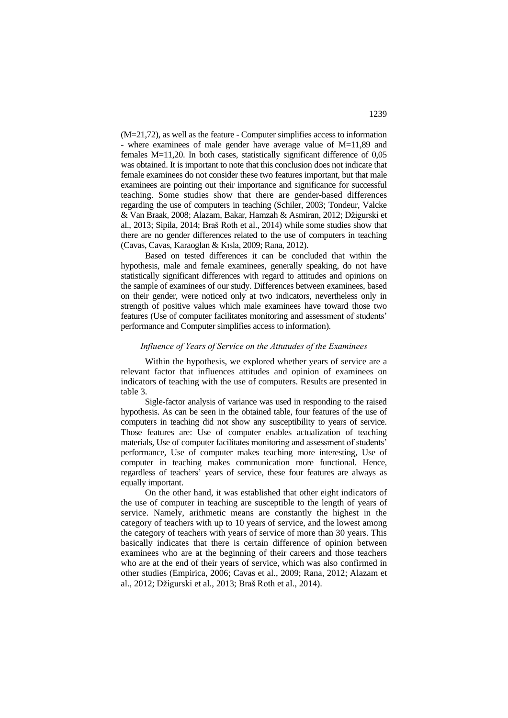(M=21,72), as well as the feature - Computer simplifies access to information - where examinees of male gender have average value of M=11,89 and females M=11,20. In both cases, statistically significant difference of 0,05 was obtained. It is important to note that this conclusion does not indicate that female examinees do not consider these two features important, but that male examinees are pointing out their importance and significance for successful teaching. Some studies show that there are gender-based differences regarding the use of computers in teaching (Schiler, 2003; Tondeur, Valcke & Van Braak, 2008; Alazam, Bakar, Hamzah & Asmiran, 2012; Džigurski et al., 2013; Sipila, 2014; Braš Roth et al., 2014) while some studies show that there are no gender differences related to the use of computers in teaching (Cavas, Cavas, Karaoglan & Kısla, 2009; Rana, 2012).

Based on tested differences it can be concluded that within the hypothesis, male and female examinees, generally speaking, do not have statistically significant differences with regard to attitudes and opinions on the sample of examinees of our study. Differences between examinees, based on their gender, were noticed only at two indicators, nevertheless only in strength of positive values which male examinees have toward those two features (Use of computer facilitates monitoring and assessment of students' performance and Computer simplifies access to information).

#### *Influence of Years of Service on the Attutudes of the Examinees*

Within the hypothesis, we explored whether years of service are a relevant factor that influences attitudes and opinion of examinees on indicators of teaching with the use of computers. Results are presented in table 3.

Sigle-factor analysis of variance was used in responding to the raised hypothesis. As can be seen in the obtained table, four features of the use of computers in teaching did not show any susceptibility to years of service. Those features are: Use of computer enables actualization of teaching materials*,* Use of computer facilitates monitoring and assessment of students' performance, Use of computer makes teaching more interesting, Use of computer in teaching makes communication more functional*.* Hence, regardless of teachers' years of service, these four features are always as equally important.

On the other hand, it was established that other eight indicators of the use of computer in teaching are susceptible to the length of years of service. Namely, arithmetic means are constantly the highest in the category of teachers with up to 10 years of service, and the lowest among the category of teachers with years of service of more than 30 years. This basically indicates that there is certain difference of opinion between examinees who are at the beginning of their careers and those teachers who are at the end of their years of service, which was also confirmed in other studies (Empirica, 2006; Cavas et al., 2009; Rana, 2012; Alazam et al., 2012; Džigurski et al., 2013; Braš Roth et al., 2014).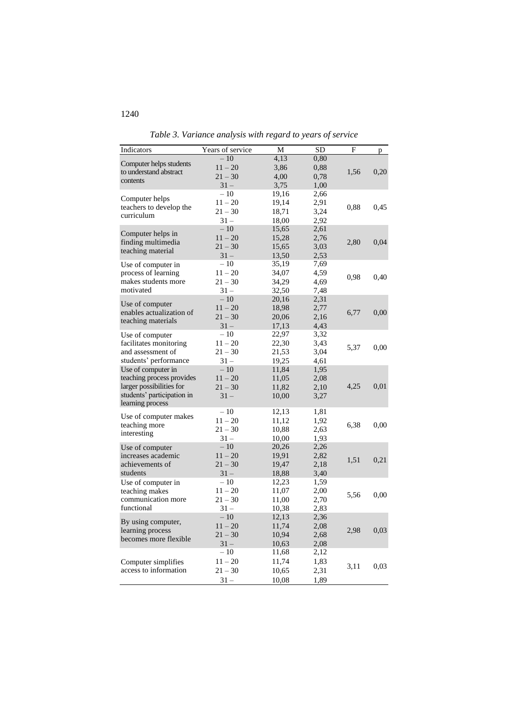| Indicators                                        | Years of service | M     | SD   | F    | p    |
|---------------------------------------------------|------------------|-------|------|------|------|
|                                                   | $-10$            | 4,13  | 0,80 |      |      |
| Computer helps students<br>to understand abstract | $11 - 20$        | 3,86  | 0,88 | 1,56 | 0,20 |
| contents                                          | $21 - 30$        | 4,00  | 0,78 |      |      |
|                                                   | $31 -$           | 3,75  | 1,00 |      |      |
|                                                   | $-10$            | 19,16 | 2,66 |      |      |
| Computer helps                                    | $11 - 20$        | 19,14 | 2,91 | 0,88 | 0,45 |
| teachers to develop the<br>curriculum             | $21 - 30$        | 18,71 | 3,24 |      |      |
|                                                   | $31 -$           | 18,00 | 2,92 |      |      |
|                                                   | $-10$            | 15,65 | 2,61 |      |      |
| Computer helps in<br>finding multimedia           | $11 - 20$        | 15,28 | 2,76 | 2,80 | 0,04 |
| teaching material                                 | $21 - 30$        | 15,65 | 3,03 |      |      |
|                                                   | $31 -$           | 13,50 | 2,53 |      |      |
| Use of computer in                                | $-10$            | 35,19 | 7,69 |      |      |
| process of learning                               | $11 - 20$        | 34,07 | 4,59 |      |      |
| makes students more                               | $21 - 30$        | 34,29 | 4,69 | 0,98 | 0,40 |
| motivated                                         | $31 -$           | 32,50 | 7,48 |      |      |
|                                                   | $-10$            | 20,16 | 2,31 |      |      |
| Use of computer                                   | $11 - 20$        | 18,98 | 2,77 |      |      |
| enables actualization of                          | $21 - 30$        | 20,06 | 2,16 | 6,77 | 0,00 |
| teaching materials                                | $31 -$           | 17,13 | 4,43 |      |      |
| Use of computer                                   | $-10$            | 22,97 | 3,32 |      |      |
| facilitates monitoring                            | $11 - 20$        | 22,30 | 3,43 |      |      |
| and assessment of                                 | $21 - 30$        | 21,53 | 3,04 | 5,37 | 0,00 |
| students' performance                             | $31 -$           | 19,25 | 4,61 |      |      |
| Use of computer in                                | $-10$            | 11,84 | 1,95 |      |      |
| teaching process provides                         | $11 - 20$        | 11,05 | 2,08 |      |      |
| larger possibilities for                          | $21 - 30$        | 11,82 | 2,10 | 4,25 | 0,01 |
| students' participation in                        | $31 -$           | 10,00 | 3,27 |      |      |
| learning process                                  |                  |       |      |      |      |
|                                                   | $-10$            | 12,13 | 1,81 |      |      |
| Use of computer makes                             | $11 - 20$        | 11,12 | 1,92 |      |      |
| teaching more                                     | $21 - 30$        | 10,88 | 2,63 | 6,38 | 0,00 |
| interesting                                       | $31 -$           | 10,00 | 1,93 |      |      |
| Use of computer                                   | $-10$            | 20,26 | 2,26 |      |      |
| increases academic                                | $11 - 20$        | 19,91 | 2,82 |      |      |
| achievements of                                   | $21 - 30$        | 19,47 | 2,18 | 1,51 | 0,21 |
| students                                          | $31 -$           | 18,88 | 3,40 |      |      |
| Use of computer in                                | $-10$            | 12,23 | 1,59 |      |      |
| teaching makes                                    | $11 - 20$        | 11,07 | 2,00 |      |      |
| communication more                                | $21 - 30$        | 11,00 | 2,70 | 5,56 | 0,00 |
| functional                                        | $31 -$           | 10,38 | 2,83 |      |      |
|                                                   | $-10$            | 12,13 | 2,36 |      |      |
| By using computer,                                | $11 - 20$        | 11,74 | 2,08 |      |      |
| learning process                                  | $21 - 30$        | 10,94 | 2,68 | 2,98 | 0,03 |
| becomes more flexible                             | $31 -$           | 10,63 | 2,08 |      |      |
|                                                   | $-10$            | 11,68 | 2,12 |      |      |
| Computer simplifies                               | $11 - 20$        | 11,74 | 1,83 |      |      |
| access to information                             | $21 - 30$        | 10,65 | 2,31 | 3,11 | 0,03 |
|                                                   | $31 -$           | 10,08 | 1,89 |      |      |
|                                                   |                  |       |      |      |      |

*Table 3. Variance analysis with regard to years of service*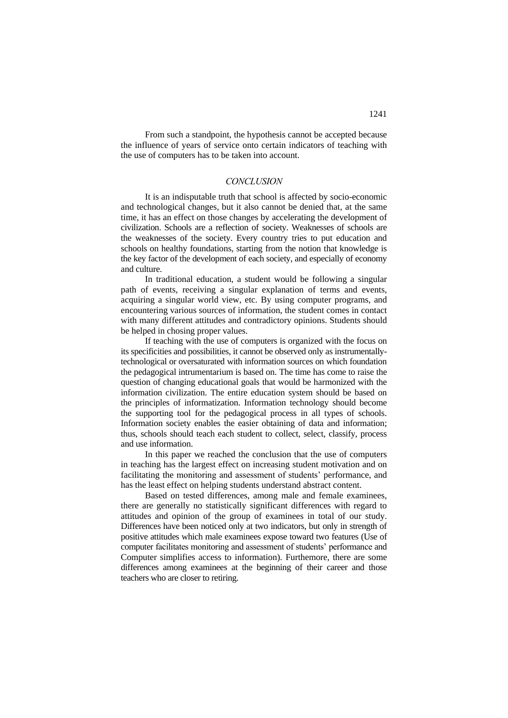From such a standpoint, the hypothesis cannot be accepted because the influence of years of service onto certain indicators of teaching with the use of computers has to be taken into account.

## *CONCLUSION*

It is an indisputable truth that school is affected by socio-economic and technological changes, but it also cannot be denied that, at the same time, it has an effect on those changes by accelerating the development of civilization. Schools are a reflection of society. Weaknesses of schools are the weaknesses of the society. Every country tries to put education and schools on healthy foundations, starting from the notion that knowledge is the key factor of the development of each society, and especially of economy and culture.

In traditional education, a student would be following a singular path of events, receiving a singular explanation of terms and events, acquiring a singular world view, etc. By using computer programs, and encountering various sources of information, the student comes in contact with many different attitudes and contradictory opinions. Students should be helped in chosing proper values.

If teaching with the use of computers is organized with the focus on its specificities and possibilities, it cannot be observed only as instrumentallytechnological or oversaturated with information sources on which foundation the pedagogical intrumentarium is based on. The time has come to raise the question of changing educational goals that would be harmonized with the information civilization. The entire education system should be based on the principles of informatization. Information technology should become the supporting tool for the pedagogical process in all types of schools. Information society enables the easier obtaining of data and information; thus, schools should teach each student to collect, select, classify, process and use information.

In this paper we reached the conclusion that the use of computers in teaching has the largest effect on increasing student motivation and on facilitating the monitoring and assessment of students' performance, and has the least effect on helping students understand abstract content.

Based on tested differences, among male and female examinees, there are generally no statistically significant differences with regard to attitudes and opinion of the group of examinees in total of our study. Differences have been noticed only at two indicators, but only in strength of positive attitudes which male examinees expose toward two features (Use of computer facilitates monitoring and assessment of students' performance and Computer simplifies access to information). Furthemore, there are some differences among examinees at the beginning of their career and those teachers who are closer to retiring.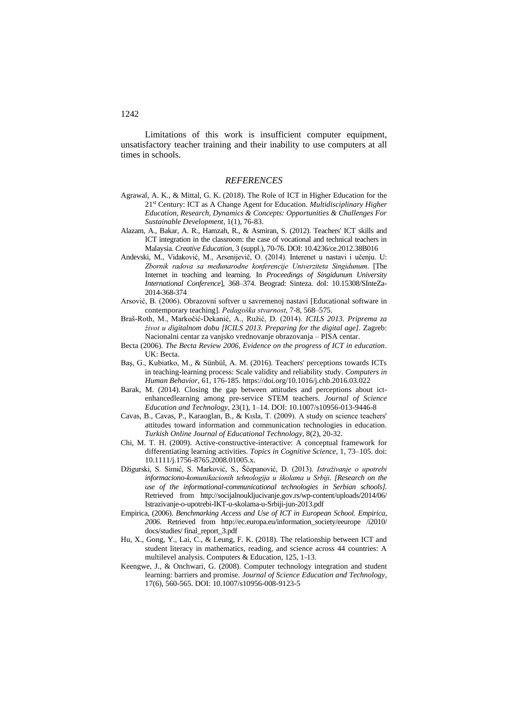Limitations of this work is insufficient computer equipment, unsatisfactory teacher training and their inability to use computers at all times in schools.

#### *REFERENCES*

- Agrawal, A. K., & Mittal, G. K. (2018). The Role of ICT in Higher Education for the 21st Century: ICT as A Change Agent for Education. *Multidisciplinary Higher Education, Research, Dynamics & Concepts: Opportunities & Challenges For Sustainable Development*, 1(1), 76-83.
- Alazam, A., Bakar, A. R., Hamzah, R., & Asmiran, S. (2012). Teachers' ICT skills and ICT integration in the classroom: the case of vocational and technical teachers in Malaysia. *Creative Education*, 3 (suppl.), 70-76. DOI: 10.4236/ce.2012.38B016
- Andevski, M., Vidaković, M., Arsenijevič, O. (2014). Interenet u nastavi i učenju. U: *Zbornik radova sa međunarodne konferencije Univerziteta Singidunum*. [The Internet in teaching and learning*.* In *Proceedings of Singidunum University International Conference*], 368–374. Beograd: Sinteza. doI: 10.15308/SInteZa-2014-368-374
- Arsović, B. (2006). Obrazovni softver u savremenoj nastavi [Educational software in contemporary teaching]. *Pedagoška stvarnost*, 7-8, 568–575.
- Braš-Roth, M., Markočić-Dekanić, A., Ružić, D. (2014). *ICILS 2013. Priprema za život u digitalnom dobu [ICILS 2013. Preparing for the digital age]*. Zagreb: Nacionalni centar za vanjsko vrednovanje obrazovanja – PISA centar.
- Becta (2006). *The Becta Review 2006, Evidence on the progress of ICT in education*. UK: Becta.
- Baş, G., Kubiatko, M., & Sünbül, A. M. (2016). Teachers' perceptions towards ICTs in teaching-learning process: Scale validity and reliability study. *Computers in Human Behavior*, 61, 176-185. https://doi.org/10.1016/j.chb.2016.03.022
- Barak, M. (2014). Closing the gap between attitudes and perceptions about ictenhancedlearning among pre-service STEM teachers. *Journal of Science Education and Technology*, 23(1), 1–14. DOI: 10.1007/s10956-013-9446-8
- Cavas, B., Cavas, P., Karaoglan, B., & Kısla, T. (2009). A study on science teachers' attitudes toward information and communication technologies in education. *Turkish Online Journal of Educational Technology*, 8(2), 20-32.
- Chi, M. T. H. (2009). Active-constructive-interactive: A conceptual framework for differentiating learning activities. *Topics in Cognitive Science*, 1, 73–105. doi: 10.1111/j.1756-8765.2008.01005.x.
- Džigurski, S. Simić, S. Marković, S., Šćepanović, D. (2013). *Istraživanje o upotrebi informaciono-komunikacionih tehnologija u školama u Srbiji*. *[Research on the use of the informational-communicational technologies in Serbian schools]*. Retrieved from [http://socijalnoukljucivanje.gov.rs/wp-content/uploads/2014/06/](http://socijalnoukljucivanje.gov.rs/wp-content/uploads/2014/06/Istrazivanje-o-upotrebi-IKT-u-skolama-u-Srbiji-jun-2013.pdf) [Istrazivanje-o-upotrebi-IKT-u-skolama-u-Srbiji-jun-2013.pdf](http://socijalnoukljucivanje.gov.rs/wp-content/uploads/2014/06/Istrazivanje-o-upotrebi-IKT-u-skolama-u-Srbiji-jun-2013.pdf)
- Empirica, (2006). *Benchmarking Access and Use of ICT in European School. Empirica, 2006*. Retrieved from [http://ec.europa.eu/information\\_society/eeurope /i2010/](http://ec.europa.eu/information_society/eeurope%20/i2010/%20docs/studies/%20final_report_3.pdf)  [docs/studies/ final\\_report\\_3.pdf](http://ec.europa.eu/information_society/eeurope%20/i2010/%20docs/studies/%20final_report_3.pdf)
- Hu, X., Gong, Y., Lai, C., & Leung, F. K. (2018). The relationship between ICT and student literacy in mathematics, reading, and science across 44 countries: A multilevel analysis. Computers & Education, 125, 1-13.
- Keengwe, J., & Onchwari, G. (2008). Computer technology integration and student learning: barriers and promise. *Journal of Science Education and Technology*, 17(6), 560-565. DOI: 10.1007/s10956-008-9123-5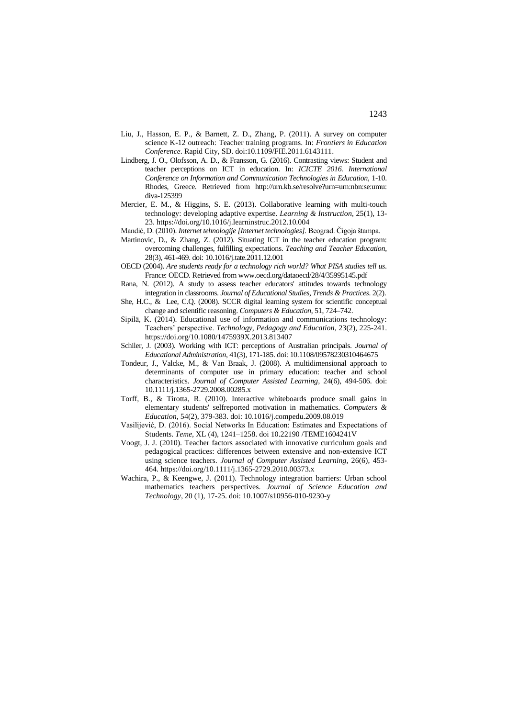- Liu, J., Hasson, E. P., & Barnett, Z. D., Zhang, P. (2011). A survey on computer science K-12 outreach: Teacher training programs. In: *Frontiers in Education Conference*. Rapid City, SD. doi:10.1109/FIE.2011.6143111.
- Lindberg, J. O., Olofsson, A. D., & Fransson, G. (2016). Contrasting views: Student and teacher perceptions on ICT in education. In: *ICICTE 2016. International Conference on Information and Communication Technologies in Education,* 1-10. Rhodes, Greece. Retrieved from [http://urn.kb.se/resolve?urn=urn:nbn:se:umu:](http://urn.kb.se/resolve?urn=urn:nbn:se:umu:diva-125399) [diva-125399](http://urn.kb.se/resolve?urn=urn:nbn:se:umu:diva-125399)
- Mercier, E. M., & Higgins, S. E. (2013). Collaborative learning with multi-touch technology: developing adaptive expertise. *Learning & Instruction*, 25(1), 13- 23. https://doi.org/10.1016/j.learninstruc.2012.10.004
- Mandić, D. (2010). *Internet tehnologije [Internet technologies].* Beograd. Čigoja štampa.
- Martinovic, D., & Zhang, Z. (2012). Situating ICT in the teacher education program: overcoming challenges, fulfilling expectations. *Teaching and Teacher Education*, 28(3), 461-469. doi: 10.1016/j.tate.2011.12.001
- OECD (2004). *Are students ready for a technology rich world? What PISA studies tell us*. France: OECD. Retrieved fro[m www.oecd.org/dataoecd/28/4/35995145.pdf](../Downloads/www.oecd.org/dataoecd/28/4/35995145.pdf)
- Rana, N. (2012). A study to assess teacher educators' attitudes towards technology integration in classrooms. *Journal of Educational Studies, Trends & Practices*. 2(2).
- She, H.C., & Lee, C.Q. (2008). SCCR digital learning system for scientific conceptual change and scientific reasoning. *Computers & Education*, 51, 724–742.
- Sipilä, K. (2014). Educational use of information and communications technology: Teachers' perspective. *Technology, Pedagogy and Education*, 23(2), 225-241. https://doi.org/10.1080/1475939X.2013.813407
- Schiler, J. (2003). Working with ICT: perceptions of Australian principals. *Journal of Educational Administration*, 41(3), 171-185. doi: 10.1108/09578230310464675
- Tondeur, J., Valcke, M., & Van Braak, J. (2008). A multidimensional approach to determinants of computer use in primary education: teacher and school characteristics. *Journal of Computer Assisted Learning*, 24(6), 494-506. doi: 10.1111/j.1365-2729.2008.00285.x
- Torff, B., & Tirotta, R. (2010). Interactive whiteboards produce small gains in elementary students' selfreported motivation in mathematics. *Computers & Education*, 54(2), 379-383. doi: 10.1016/j.compedu.2009.08.019
- Vasilijević, D. (2016). Social Networks In Education: Estimates and Expectations of Students. *Teme*, XL (4), 1241–1258. doi 10.22190 /TEME1604241V
- Voogt, J. J. (2010). Teacher factors associated with innovative curriculum goals and pedagogical practices: differences between extensive and non-extensive ICT using science teachers. *Journal of Computer Assisted Learning*, 26(6), 453- 464. https://doi.org/10.1111/j.1365-2729.2010.00373.x
- Wachira, P., & Keengwe, J. (2011). Technology integration barriers: Urban school mathematics teachers perspectives. *Journal of Science Education and Technology*, 20 (1), 17-25. doi: 10.1007/s10956-010-9230-y